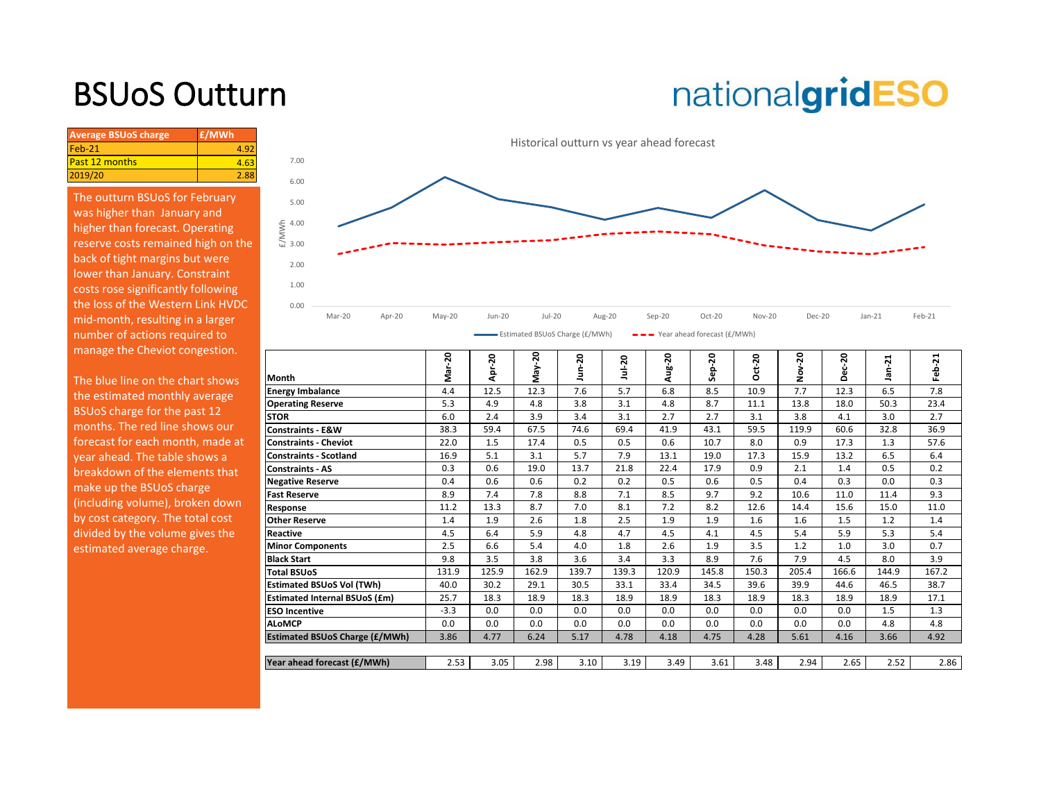# BSUoS Outturn

# nationalgridESO

| 4.63 |
|------|
| 2.88 |
|      |

The outturn BSUoS for February was higher than January and higher than forecast. Operating reserve costs remained high on the back of tight margins but were lower than January. Constraint costs rose significantly following the loss of the Western Link HVDC mid-month, resulting in a larger number of actions required to manage the Cheviot congestion.



| Month                                 | 20<br>ត<br>ក                | ន<br>Ω<br>ď | 50          | 20<br>,             | ន<br>Ě      |                    | ន<br>읎<br>Ū           | $ct-20$<br>n | 20<br>Ö<br>ż | 20<br>ά<br>ō<br>Δ | $\ddot{2}$<br>₾ | ដ<br>읇<br>ட் |
|---------------------------------------|-----------------------------|-------------|-------------|---------------------|-------------|--------------------|-----------------------|--------------|--------------|-------------------|-----------------|--------------|
| <b>Energy Imbalance</b>               | 4.4                         | 12.5        | 12.3        | 7.6                 | 5.7         | 6.8                | 8.5                   | 10.9         | 7.7          | 12.3              | 6.5             | 7.8          |
| <b>Operating Reserve</b>              | 5.3                         | 4.9         | 4.8         | 3.8                 | 3.1         | 4.8                | 8.7                   | 11.1         | 13.8         | 18.0              | 50.3            | 23.4         |
| <b>STOR</b>                           | 6.0                         | 2.4         | 3.9         | 3.4                 | 3.1         | 2.7                | 2.7                   | 3.1          | 3.8          | 4.1               | 3.0             | 2.7          |
| <b>Constraints - E&amp;W</b>          | 38.3                        | 59.4        | 67.5        | 74.6                | 69.4        | 41.9               | 43.1                  | 59.5         | 119.9        | 60.6              | 32.8            | 36.9         |
| <b>Constraints - Cheviot</b>          | 22.0                        | 1.5         | 17.4        | 0.5                 | 0.5         | 0.6                | 10.7                  | 8.0          | 0.9          | 17.3              | 1.3             | 57.6         |
| <b>Constraints - Scotland</b>         | 16.9                        | 5.1         | 3.1         | 5.7                 | 7.9         | 13.1               | 19.0                  | 17.3         | 15.9         | 13.2              | 6.5             | 6.4          |
| <b>Constraints - AS</b>               | 0.3                         | 0.6         | 19.0        | 13.7                | 21.8        | 22.4               | 17.9                  | 0.9          | 2.1          | 1.4               | 0.5             | 0.2          |
| <b>Negative Reserve</b>               | 0.4                         | 0.6         | 0.6         | 0.2                 | 0.2         | 0.5                | 0.6                   | 0.5          | 0.4          | 0.3               | 0.0             | 0.3          |
| <b>Fast Reserve</b>                   | 8.9                         | 7.4         | 7.8         | 8.8                 | 7.1         | 8.5                | 9.7                   | 9.2          | 10.6         | 11.0              | 11.4            | 9.3          |
| Response                              | 11.2                        | 13.3        | 8.7         | 7.0                 | 8.1         | 7.2                | 8.2                   | 12.6         | 14.4         | 15.6              | 15.0            | 11.0         |
| <b>Other Reserve</b>                  | 1.4                         | 1.9         | 2.6         | 1.8                 | 2.5         | 1.9                | 1.9                   | 1.6          | 1.6          | 1.5               | 1.2             | 1.4          |
| Reactive                              | 4.5                         | 6.4         | 5.9         | 4.8                 | 4.7         | 4.5                | 4.1                   | 4.5          | 5.4          | 5.9               | 5.3             | 5.4          |
| <b>Minor Components</b>               | 2.5                         | 6.6         | 5.4         | 4.0                 | 1.8         | 2.6                | 1.9                   | 3.5          | 1.2          | 1.0               | 3.0             | 0.7          |
| <b>Black Start</b>                    | 9.8                         | 3.5         | 3.8         | 3.6                 |             | 3.3                | 8.9                   | 7.6          | 7.9          | 4.5               | 8.0             | 3.9          |
| <b>Total BSUoS</b>                    | 131.9                       | 125.9       | 162.9       | 139.7               | 139.3       | 120.9              | 145.8                 | 150.3        | 205.4        | 166.6             | 144.9           | 167.2        |
| <b>Estimated BSUoS Vol (TWh)</b>      | 40.0                        | 30.2        | 29.1        | 30.5                | 33.1        | 33.4               | 34.5                  | 39.6         | 39.9         | 44.6              | 46.5            | 38.7         |
| <b>Estimated Internal BSUoS (£m)</b>  | 25.7                        | 18.3        | 18.9        | 18.3                | 18.9        | 18.9               | 18.3                  | 18.9         | 18.3         | 18.9              | 18.9            | 17.1         |
| <b>ESO Incentive</b>                  | $-3.3$                      | 0.0         | 0.0         | 0.0                 | 0.0         | 0.0                | 0.0                   | 0.0          | 0.0          | 0.0               | 1.5             | 1.3          |
| <b>ALoMCP</b>                         |                             |             |             |                     |             |                    |                       |              |              |                   |                 | 4.8          |
| <b>Estimated BSUoS Charge (£/MWh)</b> | 3.86                        | 4.77        | 6.24        | 5.17                | 4.78        | 4.18               | 4.75                  | 4.28         | 5.61         | 4.16              | 3.66            | 4.92         |
|                                       |                             |             |             |                     |             |                    |                       |              |              |                   |                 |              |
|                                       |                             |             |             |                     |             |                    |                       |              |              |                   |                 | 2.86         |
|                                       | Year ahead forecast (£/MWh) | 0.0<br>2.53 | 0.0<br>3.05 | Maγ-<br>0.0<br>2.98 | 0.0<br>3.10 | 3.4<br>0.0<br>3.19 | Aug-20<br>0.0<br>3.49 | 0.0<br>3.61  | 0.0<br>3.48  | 0.0<br>2.94       | 0.0<br>2.65     | 4.8<br>2.52  |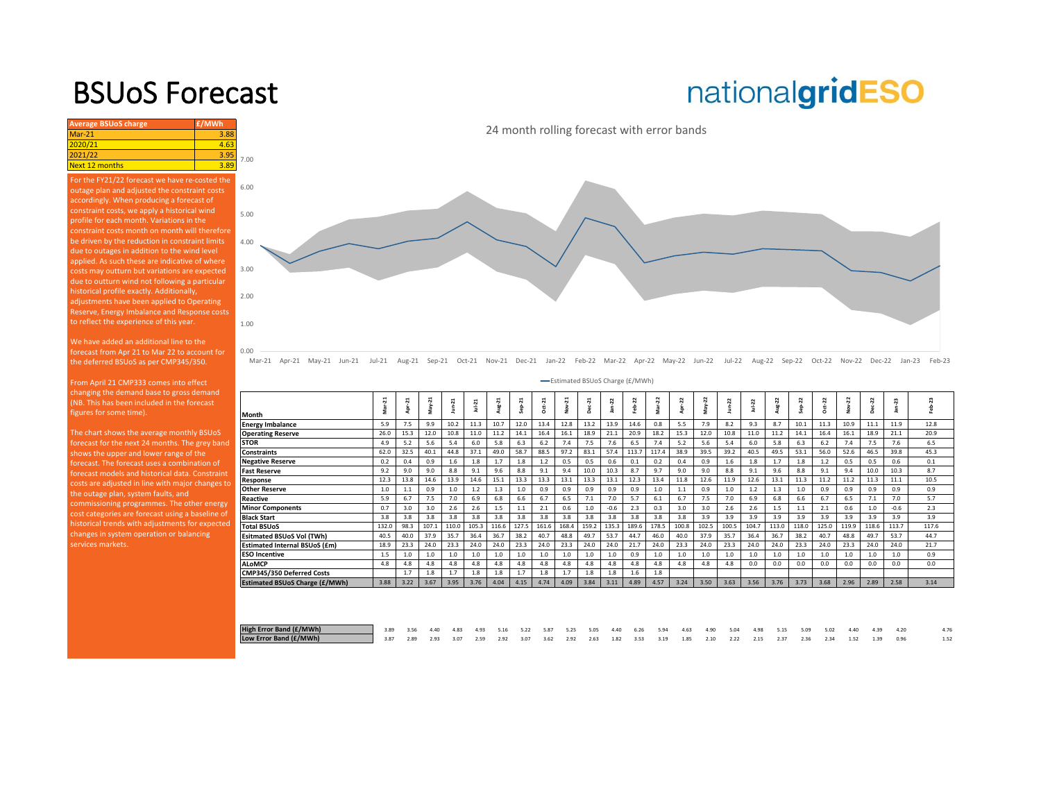### BSUoS Forecast

## nationalgridESO

| <b>Average BSUoS charge</b>                                                                                                                                                                    | £/MWh |              |  |  |  |  |  |  |  |  |
|------------------------------------------------------------------------------------------------------------------------------------------------------------------------------------------------|-------|--------------|--|--|--|--|--|--|--|--|
| $Mar-21$                                                                                                                                                                                       | 3.88  |              |  |  |  |  |  |  |  |  |
| 2020/21                                                                                                                                                                                        | 4.63  |              |  |  |  |  |  |  |  |  |
| 2021/22                                                                                                                                                                                        | 3.95  | 7.00         |  |  |  |  |  |  |  |  |
| <b>Next 12 months</b><br>3.89                                                                                                                                                                  |       |              |  |  |  |  |  |  |  |  |
| For the FY21/22 forecast we have re-costed the<br>outage plan and adjusted the constraint costs<br>accordingly. When producing a forecast of<br>constraint costs, we apply a historical wind   |       | 6.00<br>5.00 |  |  |  |  |  |  |  |  |
| profile for each month. Variations in the<br>constraint costs month on month will therefore<br>be driven by the reduction in constraint limits<br>due to outages in addition to the wind level |       |              |  |  |  |  |  |  |  |  |
| applied. As such these are indicative of where<br>costs may outturn but variations are expected<br>due to outturn wind not following a particular                                              |       |              |  |  |  |  |  |  |  |  |
| historical profile exactly. Additionally,<br>adjustments have been applied to Operating<br>Reserve, Energy Imbalance and Response costs<br>to reflect the experience of this year.             |       | 2.00<br>1.00 |  |  |  |  |  |  |  |  |
| We have added an additional line to the                                                                                                                                                        |       |              |  |  |  |  |  |  |  |  |

We have added an additional line to the forecast from Apr 21 to Mar 22 to account for the deferred BSUoS as per CMP345/350.

0.00

changing the demand base to gross demand figures for some time).

The chart shows the average monthly BSUoS forecast for the next 24 months. The grey band shows the upper and lower range of the forecast. The forecast uses a combination of [costs are adjusted in line with major changes to](https://www.nationalgrideso.com/charging/balancing-services-use-system-bsuos-charges)  the outage plan, system faults, and commissioning programmes. The other energy cost categories are forecast using a baseline of historical trends with adjustments for expected changes in system operation or balancing services markets.



24 month rolling forecast with error bands

Mar-21 Apr-21 May-21 Jun-21 Jul-21 Aug-21 Sep-21 Oct-21 Nov-21 Dec-21 Jan-22 Feb-22 Mar-22 Apr-22 May-22 Jun-22 Jul-22 Aug-22 Sep-22 Oct-22 Nov-22 Dec-22 Jan-23 Feb-23

|                                | -Estimated BSUoS Charge (£/MWh) |      |          |        |           |        |                                 |               |                        |               |        |         |       |       |          |        |            |           |         |           |            |                |        |        |  |
|--------------------------------|---------------------------------|------|----------|--------|-----------|--------|---------------------------------|---------------|------------------------|---------------|--------|---------|-------|-------|----------|--------|------------|-----------|---------|-----------|------------|----------------|--------|--------|--|
| Month                          | Mar-21                          | ដ    | ដ<br>yev | Jun-21 | $1u - 21$ | Aug-21 | $\overline{\mathbf{a}}$<br>Šep- | <b>Dct-21</b> | $\overline{a}$<br>Nov- | $c - 21$<br>å | ដ<br>â | 22<br>ė | 22    | Z     | $May-22$ | Jun-22 | $Jul - 22$ | π<br>Aug- | 22<br>숆 | $25 - 22$ | 22<br>yov- | $c - 22$<br>ஜீ | 23     | Feb-23 |  |
| <b>Energy Imbalance</b>        | 5.9                             | 7.5  | 9.9      | 10.2   | 11.3      | 10.7   | 12.0                            | 13.4          | 12.8                   | 13.2          | 13.9   | 14.6    | 0.8   | 5.5   | 7.9      | 8.2    | 9.3        | 8.7       | 10.1    | 11.3      | 10.9       | 11.1           | 11.9   | 12.8   |  |
| <b>Operating Reserve</b>       | 26.0                            | 15.3 | 12.0     | 10.8   | 11.0      | 11.2   | 14.1                            | 16.4          | 16.1                   | 18.9          | 21.1   | 20.9    | 18.2  | 15.3  | 12.0     | 10.8   | 11.0       | 11.2      | 14.1    | 16.4      | 16.1       | 18.9           | 21.1   | 20.9   |  |
| STOR                           | 4.9                             | 5.2  | 5.6      | 5.4    | 6.0       | 5.8    | 6.3                             | 6.2           | 7.4                    | 7.5           | 7.6    | 6.5     | 7.4   | 5.2   | 5.6      | 5.4    | 6.0        | 5.8       | 6.3     | 6.2       | 7.4        | 7.5            | 7.6    | 6.5    |  |
| Constraints                    | 62.0                            | 32.5 | 40.1     | 44.8   | 37.1      | 49.0   | 58.7                            | 88.5          | 97.2                   | 83.1          | 57.4   | 113.7   | 117.4 | 38.9  | 39.5     | 39.2   | 40.5       | 49.5      | 53.1    | 56.0      | 52.6       | 46.5           | 39.8   | 45.3   |  |
| <b>Negative Reserve</b>        | 0.2                             | 0.4  | 0.9      | 1.6    | 1.8       | 1.7    | 1.8                             | 1.2           | 0.5                    | 0.5           | 0.6    | 0.1     | 0.2   | 0.4   | 0.9      | 1.6    | 1.8        | 1.7       | 1.8     | 1.2       | 0.5        | 0.5            | 0.6    | 0.1    |  |
| Fast Reserve                   | 9.2                             | 9.0  | 9.0      | 8.8    | 9.1       | 9.6    | 8.8                             | 9.1           | 9.4                    | 10.0          | 10.3   | 8.7     | 9.7   | 9.0   | 9.0      | 8.8    | 9.1        | 9.6       | 8.8     | 9.1       | 9.4        | 10.0           | 10.3   | 8.7    |  |
| Response                       | 12.3                            | 13.8 | 14.6     | 13.9   | 14.6      | 15.1   | 13.3                            | 13.3          | 13.1                   | 13.3          | 13.1   | 12.3    | 13.4  | 11.8  | 12.6     | 11.9   | 12.6       | 13.1      | 11.3    | 11.2      | 11.2       | 11.3           | 11.1   | 10.5   |  |
| <b>Other Reserve</b>           | 1.0                             | 1.1  | 0.9      | 1.0    | 1.2       | 1.3    | 1.0                             | 0.9           | 0.9                    | 0.9           | 0.9    | 0.9     | 1.0   | 1.1   | 0.9      | 1.0    | 1.2        | 1.3       | 1.0     | 0.9       | 0.9        | 0.9            | 0.9    | 0.9    |  |
| Reactive                       | 5.9                             | 6.7  | 7.5      | 7.0    | 6.9       | 6.8    | 6.6                             | 6.7           | 6.5                    | 7.1           | 7.0    | 5.7     | 6.1   | 6.7   | 7.5      | 7.0    | 6.9        | 6.8       | 6.6     | 6.7       | 6.5        | 7.1            | 7.0    | 5.7    |  |
| <b>Minor Components</b>        | 0.7                             | 3.0  | 3.0      | 2.6    | 2.6       | 1.5    | $1.1$                           | 2.1           | 0.6                    | 1.0           | $-0.6$ | 2.3     | 0.3   | 3.0   | 3.0      | 2.6    | 2.6        | 1.5       | 1.1     | 2.1       | 0.6        | 1.0            | $-0.6$ | 2.3    |  |
| Black Start                    | 3.8                             | 3.8  | 3.8      | 3.8    | 3.8       | 3.8    | 3.8                             | 3.8           | 3.8                    | 3.8           | 3.8    | 3.8     | 3.8   | 3.8   | 3.9      | 3.9    | 3.9        | 3.9       | 3.9     | 3.9       | 3.9        | 3.9            | 3.9    | 3.9    |  |
| <b>Total BSUoS</b>             | 132.0                           | 98.3 | 107.1    | 110.0  | 105.3     | 116.6  | 127.5                           | 161.6         | 168.4                  | 159.2         | 135.3  | 189.6   | 178.5 | 100.8 | 102.5    | 100.5  | 104.7      | 113.0     | 118.0   | 125.0     | 119.9      | 118.6          | 113.7  | 117.6  |  |
| Esitmated BSUoS Vol (TWh)      | 40.5                            | 40.0 | 37.9     | 35.7   | 36.4      | 36.7   | 38.2                            | 40.7          | 48.8                   | 49.7          | 53.7   | 44.7    | 46.0  | 40.0  | 37.9     | 35.7   | 36.4       | 36.7      | 38.2    | 40.7      | 48.8       | 49.7           | 53.7   | 44.7   |  |
| Estimated Internal BSUoS (£m)  | 18.9                            | 23.3 | 24.0     | 23.3   | 24.0      | 24.0   | 23.3                            | 24.0          | 23.3                   | 24.0          | 24.0   | 21.7    | 24.0  | 23.3  | 24.0     | 23.3   | 24.0       | 24.0      | 23.3    | 24.0      | 23.3       | 24.0           | 24.0   | 21.7   |  |
| ESO Incentive                  | 1.5                             | 1.0  | 1.0      | 1.0    | 1.0       | 1.0    | 1.0                             | 1.0           | 1.0                    | 1.0           | 1.0    | 0.9     | 1.0   | 1.0   | 1.0      | 1.0    | 1.0        | 1.0       | 1.0     | 1.0       | 1.0        | 1.0            | 1.0    | 0.9    |  |
| ALoMCP                         | 4.8                             | 4.8  | 4.8      | 4.8    | 4.8       | 4.8    | 4.8                             | 4.8           | 4.8                    | 4.8           | 4.8    | 4.8     | 4.8   | 4.8   | 4.8      | 4.8    | 0.0        | 0.0       | 0.0     | 0.0       | 0.0        | 0.0            | 0.0    | 0.0    |  |
| CMP345/350 Deferred Costs      |                                 | 1.7  | 1.8      | 1.7    | 1.8       | 1.8    | 1.7                             | 1.8           | 1.7                    | 1.8           | 1.8    | 1.6     | 1.8   |       |          |        |            |           |         |           |            |                |        |        |  |
| Estimated BSUoS Charge (£/MWh) | 3.88                            | 3.22 | 3.67     | 3.95   | 3.76      | 4.04   | 4.15                            | 4.74          | 4.09                   | 3.84          | 3.11   | 4.89    | 4.57  | 3.24  | 3.50     | 3.63   | 3.56       | 3.76      | 3.73    | 3.68      | 2.96       | 2.89           | 2.58   | 3.14   |  |
|                                |                                 |      |          |        |           |        |                                 |               |                        |               |        |         |       |       |          |        |            |           |         |           |            |                |        |        |  |

| High Error Band (£/MWh) | 3.89 3.56 4.40 4.83 4.93 5.16 5.22 5.87 5.25 5.05 4.40 6.26 5.94 4.63 4.90 5.04 4.98 5.15 5.09 5.02 4.40 4.39 4.20   |  |  |  |  |  |  |  |  |  |  |  |  |
|-------------------------|----------------------------------------------------------------------------------------------------------------------|--|--|--|--|--|--|--|--|--|--|--|--|
| Low Error Band (£/MWh)  | 1 3.87 2.89 2.93 3.07 2.59 2.92 3.07 3.62 2.92 2.63 1.82 3.53 3.19 1.85 2.10 2.22 2.15 2.37 2.36 2.34 1.52 1.39 0.96 |  |  |  |  |  |  |  |  |  |  |  |  |